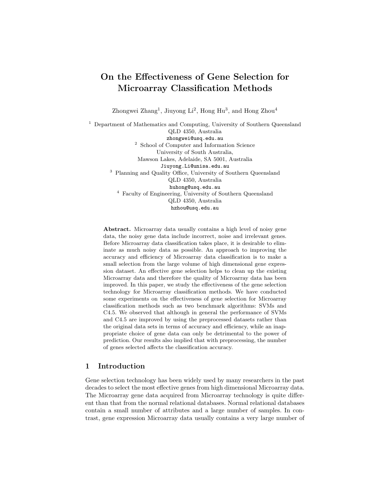# On the Effectiveness of Gene Selection for Microarray Classification Methods

Zhongwei Zhang<sup>1</sup>, Jiuyong Li<sup>2</sup>, Hong Hu<sup>3</sup>, and Hong Zhou<sup>4</sup>

 $^{\rm 1}$  Department of Mathematics and Computing, University of Southern Queensland QLD 4350, Australia zhongwei@usq.edu.au <sup>2</sup> School of Computer and Information Science University of South Australia, Mawson Lakes, Adelaide, SA 5001, Australia Jiuyong.Li@unisa.edu.au <sup>3</sup> Planning and Quality Office, University of Southern Queensland QLD 4350, Australia huhong@usq.edu.au <sup>4</sup> Faculty of Engineering, University of Southern Queensland QLD 4350, Australia hzhou@usq.edu.au

Abstract. Microarray data usually contains a high level of noisy gene data, the noisy gene data include incorrect, noise and irrelevant genes. Before Microarray data classification takes place, it is desirable to eliminate as much noisy data as possible. An approach to improving the accuracy and efficiency of Microarray data classification is to make a small selection from the large volume of high dimensional gene expression dataset. An effective gene selection helps to clean up the existing Microarray data and therefore the quality of Microarray data has been improved. In this paper, we study the effectiveness of the gene selection technology for Microarray classification methods. We have conducted some experiments on the effectiveness of gene selection for Microarray classification methods such as two benchmark algorithms: SVMs and C4.5. We observed that although in general the performance of SVMs and C4.5 are improved by using the preprocessed datasets rather than the original data sets in terms of accuracy and efficiency, while an inappropriate choice of gene data can only be detrimental to the power of prediction. Our results also implied that with preprocessing, the number of genes selected affects the classification accuracy.

# 1 Introduction

Gene selection technology has been widely used by many researchers in the past decades to select the most effective genes from high dimensional Microarray data. The Microarray gene data acquired from Microarray technology is quite different than that from the normal relational databases. Normal relational databases contain a small number of attributes and a large number of samples. In contrast, gene expression Microarray data usually contains a very large number of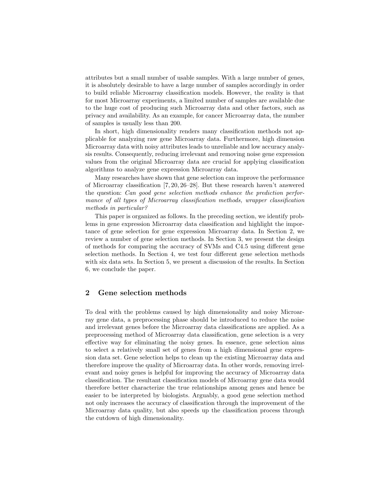attributes but a small number of usable samples. With a large number of genes, it is absolutely desirable to have a large number of samples accordingly in order to build reliable Microarray classification models. However, the reality is that for most Microarray experiments, a limited number of samples are available due to the huge cost of producing such Microarray data and other factors, such as privacy and availability. As an example, for cancer Microarray data, the number of samples is usually less than 200.

In short, high dimensionality renders many classification methods not applicable for analyzing raw gene Microarray data. Furthermore, high dimension Microarray data with noisy attributes leads to unreliable and low accuracy analysis results. Consequently, reducing irrelevant and removing noise gene expression values from the original Microarray data are crucial for applying classification algorithms to analyze gene expression Microarray data.

Many researches have shown that gene selection can improve the performance of Microarray classification [7, 20, 26–28]. But these research haven't answered the question: Can good gene selection methods enhance the prediction performance of all types of Microarray classification methods, wrapper classification methods in particular?

This paper is organized as follows. In the preceding section, we identify problems in gene expression Microarray data classification and highlight the importance of gene selection for gene expression Microarray data. In Section 2, we review a number of gene selection methods. In Section 3, we present the design of methods for comparing the accuracy of SVMs and C4.5 using different gene selection methods. In Section 4, we test four different gene selection methods with six data sets. In Section 5, we present a discussion of the results. In Section 6, we conclude the paper.

### 2 Gene selection methods

To deal with the problems caused by high dimensionality and noisy Microarray gene data, a preprocessing phase should be introduced to reduce the noise and irrelevant genes before the Microarray data classifications are applied. As a preprocessing method of Microarray data classification, gene selection is a very effective way for eliminating the noisy genes. In essence, gene selection aims to select a relatively small set of genes from a high dimensional gene expression data set. Gene selection helps to clean up the existing Microarray data and therefore improve the quality of Microarray data. In other words, removing irrelevant and noisy genes is helpful for improving the accuracy of Microarray data classification. The resultant classification models of Microarray gene data would therefore better characterize the true relationships among genes and hence be easier to be interpreted by biologists. Arguably, a good gene selection method not only increases the accuracy of classification through the improvement of the Microarray data quality, but also speeds up the classification process through the cutdown of high dimensionality.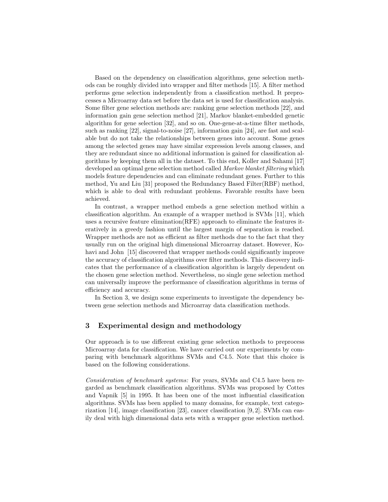Based on the dependency on classification algorithms, gene selection methods can be roughly divided into wrapper and filter methods [15]. A filter method performs gene selection independently from a classification method. It preprocesses a Microarray data set before the data set is used for classification analysis. Some filter gene selection methods are: ranking gene selection methods [22], and information gain gene selection method [21], Markov blanket-embedded genetic algorithm for gene selection [32], and so on. One-gene-at-a-time filter methods, such as ranking [22], signal-to-noise [27], information gain [24], are fast and scalable but do not take the relationships between genes into account. Some genes among the selected genes may have similar expression levels among classes, and they are redundant since no additional information is gained for classification algorithms by keeping them all in the dataset. To this end, Koller and Sahami [17] developed an optimal gene selection method called Markov blanket filtering which models feature dependencies and can eliminate redundant genes. Further to this method, Yu and Liu [31] proposed the Redundancy Based Filter(RBF) method, which is able to deal with redundant problems. Favorable results have been achieved.

In contrast, a wrapper method embeds a gene selection method within a classification algorithm. An example of a wrapper method is SVMs [11], which uses a recursive feature elimination(RFE) approach to eliminate the features iteratively in a greedy fashion until the largest margin of separation is reached. Wrapper methods are not as efficient as filter methods due to the fact that they usually run on the original high dimensional Microarray dataset. However, Kohavi and John [15] discovered that wrapper methods could significantly improve the accuracy of classification algorithms over filter methods. This discovery indicates that the performance of a classification algorithm is largely dependent on the chosen gene selection method. Nevertheless, no single gene selection method can universally improve the performance of classification algorithms in terms of efficiency and accuracy.

In Section 3, we design some experiments to investigate the dependency between gene selection methods and Microarray data classification methods.

# 3 Experimental design and methodology

Our approach is to use different existing gene selection methods to preprocess Microarray data for classification. We have carried out our experiments by comparing with benchmark algorithms SVMs and C4.5. Note that this choice is based on the following considerations.

Consideration of benchmark systems: For years, SVMs and C4.5 have been regarded as benchmark classification algorithms. SVMs was proposed by Cottes and Vapnik [5] in 1995. It has been one of the most influential classification algorithms. SVMs has been applied to many domains, for example, text categorization [14], image classification [23], cancer classification [9, 2]. SVMs can easily deal with high dimensional data sets with a wrapper gene selection method.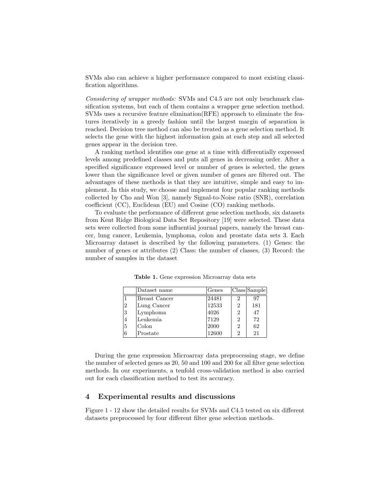SVMs also can achieve a higher performance compared to most existing classification algorithms.

Considering of wrapper methods: SVMs and C4.5 are not only benchmark classification systems, but each of them contains a wrapper gene selection method. SVMs uses a recursive feature elimination(RFE) approach to eliminate the features iteratively in a greedy fashion until the largest margin of separation is reached. Decision tree method can also be treated as a gene selection method. It selects the gene with the highest information gain at each step and all selected genes appear in the decision tree.

A ranking method identifies one gene at a time with differentially expressed levels among predefined classes and puts all genes in decreasing order. After a specified significance expressed level or number of genes is selected, the genes lower than the significance level or given number of genes are filtered out. The advantages of these methods is that they are intuitive, simple and easy to implement. In this study, we choose and implement four popular ranking methods collected by Cho and Won [3], namely Signal-to-Noise ratio (SNR), correlation coefficient (CC), Euclidean (EU) and Cosine (CO) ranking methods.

To evaluate the performance of different gene selection methods, six datasets from Kent Ridge Biological Data Set Repository [19] were selected. These data sets were collected from some influential journal papers, namely the breast cancer, lung cancer, Leukemia, lymphoma, colon and prostate data sets 3. Each Microarray dataset is described by the following parameters. (1) Genes: the number of genes or attributes (2) Class: the number of classes, (3) Record: the number of samples in the dataset

|                | Dataset name  | Genes |                | Class Sample |
|----------------|---------------|-------|----------------|--------------|
|                | Breast Cancer | 24481 | 2              | 97           |
| 2              | Lung Cancer   | 12533 | 2              | 181          |
| 3              | Lymphoma      | 4026  | $\overline{2}$ | 47           |
|                | Leukemia      | 7129  | $\overline{2}$ | 72           |
| $\overline{5}$ | Colon         | 2000  | $\overline{2}$ | 62           |
| 6              | Prostate      | 12600 | 2              | 21           |
|                |               |       |                |              |

Table 1. Gene expression Microarray data sets

During the gene expression Microarray data preprocessing stage, we define the number of selected genes as 20, 50 and 100 and 200 for all filter gene selection methods. In our experiments, a tenfold cross-validation method is also carried out for each classification method to test its accuracy.

### 4 Experimental results and discussions

Figure 1 - 12 show the detailed results for SVMs and C4.5 tested on six different datasets preprocessed by four different filter gene selection methods.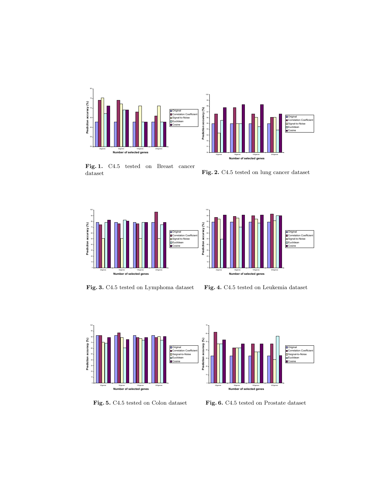



Fig. 1. C4.5 tested on Breast cancer dataset





Fig. 3. C4.5 tested on Lymphoma dataset



Fig. 4. C4.5 tested on Leukemia dataset





70 T

Fig. 5. C4.5 tested on Colon dataset

Fig. 6. C4.5 tested on Prostate dataset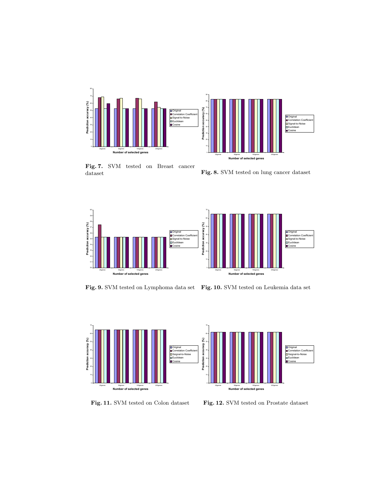



Fig. 7. SVM tested on Breast cancer dataset

Fig. 8. SVM tested on lung cancer dataset



Fig. 9. SVM tested on Lymphoma data set Fig. 10. SVM tested on Leukemia data set



Fig. 11. SVM tested on Colon dataset

Fig. 12. SVM tested on Prostate dataset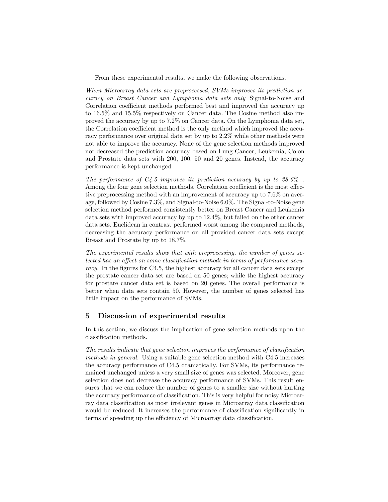From these experimental results, we make the following observations.

When Microarray data sets are preprocessed, SVMs improves its prediction accuracy on Breast Cancer and Lymphoma data sets only Signal-to-Noise and Correlation coefficient methods performed best and improved the accuracy up to 16.5% and 15.5% respectively on Cancer data. The Cosine method also improved the accuracy by up to 7.2% on Cancer data. On the Lymphoma data set, the Correlation coefficient method is the only method which improved the accuracy performance over original data set by up to 2.2% while other methods were not able to improve the accuracy. None of the gene selection methods improved nor decreased the prediction accuracy based on Lung Cancer, Leukemia, Colon and Prostate data sets with 200, 100, 50 and 20 genes. Instead, the accuracy performance is kept unchanged.

The performance of  $C<sub>4.5</sub>$  improves its prediction accuracy by up to 28.6%. Among the four gene selection methods, Correlation coefficient is the most effective preprocessing method with an improvement of accuracy up to 7.6% on average, followed by Cosine 7.3%, and Signal-to-Noise 6.0%. The Signal-to-Noise gene selection method performed consistently better on Breast Cancer and Leukemia data sets with improved accuracy by up to 12.4%, but failed on the other cancer data sets. Euclidean in contrast performed worst among the compared methods, decreasing the accuracy performance on all provided cancer data sets except Breast and Prostate by up to 18.7%.

The experimental results show that with preprocessing, the number of genes selected has an affect on some classification methods in terms of performance accuracy. In the figures for C4.5, the highest accuracy for all cancer data sets except the prostate cancer data set are based on 50 genes; while the highest accuracy for prostate cancer data set is based on 20 genes. The overall performance is better when data sets contain 50. However, the number of genes selected has little impact on the performance of SVMs.

#### 5 Discussion of experimental results

In this section, we discuss the implication of gene selection methods upon the classification methods.

The results indicate that gene selection improves the performance of classification methods in general. Using a suitable gene selection method with C4.5 increases the accuracy performance of C4.5 dramatically. For SVMs, its performance remained unchanged unless a very small size of genes was selected. Moreover, gene selection does not decrease the accuracy performance of SVMs. This result ensures that we can reduce the number of genes to a smaller size without hurting the accuracy performance of classification. This is very helpful for noisy Microarray data classification as most irrelevant genes in Microarray data classification would be reduced. It increases the performance of classification significantly in terms of speeding up the efficiency of Microarray data classification.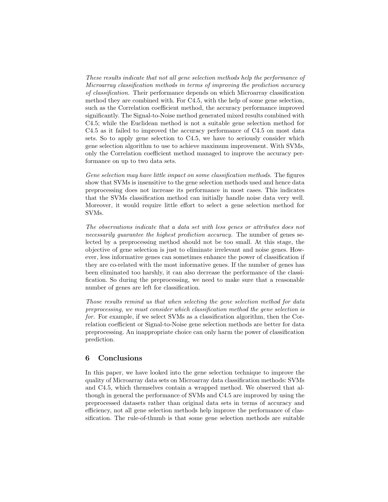These results indicate that not all gene selection methods help the performance of Microarray classification methods in terms of improving the prediction accuracy of classification. Their performance depends on which Microarray classification method they are combined with. For C4.5, with the help of some gene selection, such as the Correlation coefficient method, the accuracy performance improved significantly. The Signal-to-Noise method generated mixed results combined with C4.5; while the Euclidean method is not a suitable gene selection method for C4.5 as it failed to improved the accuracy performance of C4.5 on most data sets. So to apply gene selection to C4.5, we have to seriously consider which gene selection algorithm to use to achieve maximum improvement. With SVMs, only the Correlation coefficient method managed to improve the accuracy performance on up to two data sets.

Gene selection may have little impact on some classification methods. The figures show that SVMs is insensitive to the gene selection methods used and hence data preprocessing does not increase its performance in most cases. This indicates that the SVMs classification method can initially handle noise data very well. Moreover, it would require little effort to select a gene selection method for SVMs.

The observations indicate that a data set with less genes or attributes does not necessarily quarantee the highest prediction accuracy. The number of genes selected by a preprocessing method should not be too small. At this stage, the objective of gene selection is just to eliminate irrelevant and noise genes. However, less informative genes can sometimes enhance the power of classification if they are co-related with the most informative genes. If the number of genes has been eliminated too harshly, it can also decrease the performance of the classification. So during the preprocessing, we need to make sure that a reasonable number of genes are left for classification.

Those results remind us that when selecting the gene selection method for data preprocessing, we must consider which classification method the gene selection is for. For example, if we select SVMs as a classification algorithm, then the Correlation coefficient or Signal-to-Noise gene selection methods are better for data preprocessing. An inappropriate choice can only harm the power of classification prediction.

# 6 Conclusions

In this paper, we have looked into the gene selection technique to improve the quality of Microarray data sets on Microarray data classification methods: SVMs and C4.5, which themselves contain a wrapped method. We observed that although in general the performance of SVMs and C4.5 are improved by using the preprocessed datasets rather than original data sets in terms of accuracy and efficiency, not all gene selection methods help improve the performance of classification. The rule-of-thumb is that some gene selection methods are suitable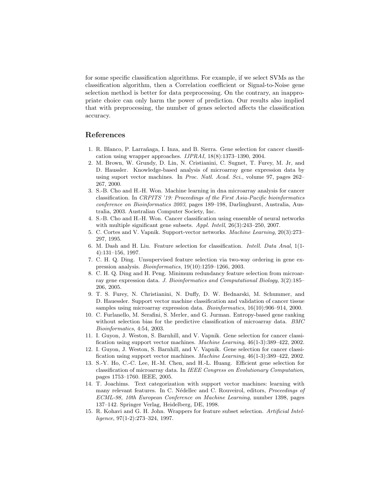for some specific classification algorithms. For example, if we select SVMs as the classification algorithm, then a Correlation coefficient or Signal-to-Noise gene selection method is better for data preprocessing. On the contrary, an inappropriate choice can only harm the power of prediction. Our results also implied that with preprocessing, the number of genes selected affects the classification accuracy.

# References

- 1. R. Blanco, P. Larra˜naga, I. Inza, and B. Sierra. Gene selection for cancer classification using wrapper approaches. IJPRAI, 18(8):1373–1390, 2004.
- 2. M. Brown, W. Grundy, D. Lin, N. Cristianini, C. Sugnet, T. Furey, M. Jr, and D. Haussler. Knowledge-based analysis of microarray gene expression data by using suport vector machines. In Proc. Natl. Acad. Sci., volume 97, pages 262– 267, 2000.
- 3. S.-B. Cho and H.-H. Won. Machine learning in dna microarray analysis for cancer classification. In CRPITS '19: Proceedings of the First Asia-Pacific bioinformatics conference on Bioinformatics 2003, pages 189–198, Darlinghurst, Australia, Australia, 2003. Australian Computer Society, Inc.
- 4. S.-B. Cho and H.-H. Won. Cancer classification using ensemble of neural networks with multiple significant gene subsets. Appl. Intell, 26(3):243-250, 2007.
- 5. C. Cortes and V. Vapnik. Support-vector networks. Machine Learning, 20(3):273– 297, 1995.
- 6. M. Dash and H. Liu. Feature selection for classification. Intell. Data Anal, 1(1- 4):131–156, 1997.
- 7. C. H. Q. Ding. Unsupervised feature selection via two-way ordering in gene expression analysis. Bioinformatics, 19(10):1259–1266, 2003.
- 8. C. H. Q. Ding and H. Peng. Minimum redundancy feature selection from microarray gene expression data. J. Bioinformatics and Computational Biology, 3(2):185– 206, 2005.
- 9. T. S. Furey, N. Christianini, N. Duffy, D. W. Bednarski, M. Schummer, and D. Hauessler. Support vector machine classification and validation of cancer tissue samples using microarray expression data. Bioinformatics, 16(10):906–914, 2000.
- 10. C. Furlanello, M. Serafini, S. Merler, and G. Jurman. Entropy-based gene ranking without selection bias for the predictive classification of microarray data. BMC Bioinformatics, 4:54, 2003.
- 11. I. Guyon, J. Weston, S. Barnhill, and V. Vapnik. Gene selection for cancer classification using support vector machines. Machine Learning, 46(1-3):389–422, 2002.
- 12. I. Guyon, J. Weston, S. Barnhill, and V. Vapnik. Gene selection for cancer classification using support vector machines. Machine Learning, 46(1-3):389–422, 2002.
- 13. S.-Y. Ho, C.-C. Lee, H.-M. Chen, and H.-L. Huang. Efficient gene selection for classification of microarray data. In IEEE Congress on Evolutionary Computation, pages 1753–1760. IEEE, 2005.
- 14. T. Joachims. Text categorization with support vector machines: learning with many relevant features. In C. Nédellec and C. Rouveirol, editors, Proceedings of ECML-98, 10th European Conference on Machine Learning, number 1398, pages 137–142. Springer Verlag, Heidelberg, DE, 1998.
- 15. R. Kohavi and G. H. John. Wrappers for feature subset selection. Artificial Intelligence, 97(1-2):273–324, 1997.